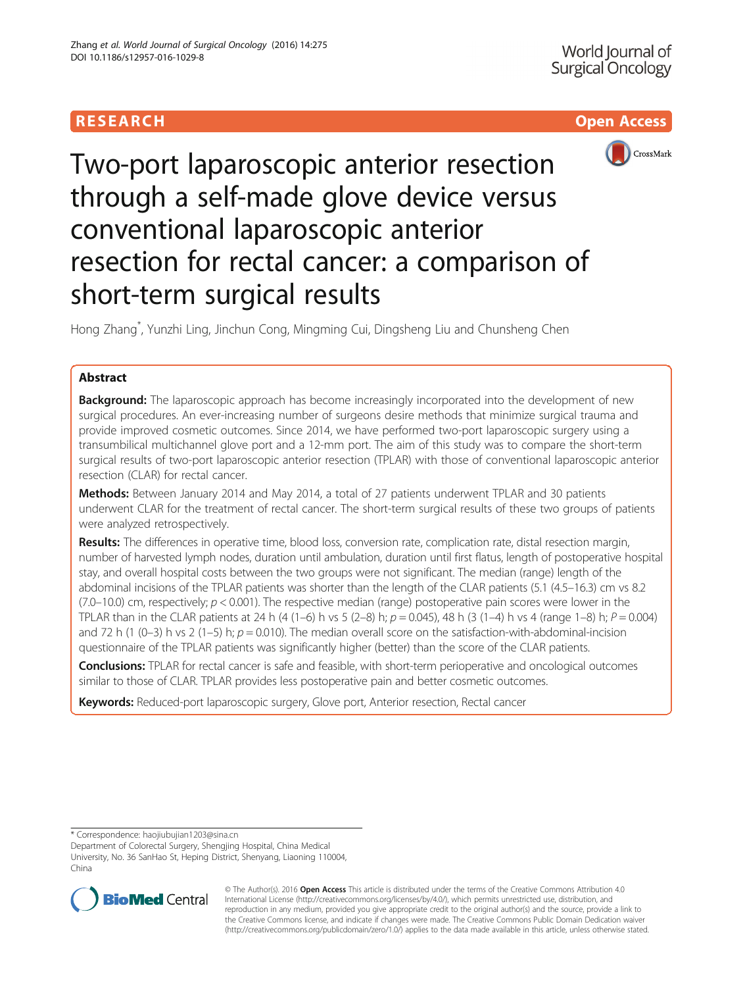



# Two-port laparoscopic anterior resection through a self-made glove device versus conventional laparoscopic anterior resection for rectal cancer: a comparison of short-term surgical results

Hong Zhang\* , Yunzhi Ling, Jinchun Cong, Mingming Cui, Dingsheng Liu and Chunsheng Chen

# Abstract

**Background:** The laparoscopic approach has become increasingly incorporated into the development of new surgical procedures. An ever-increasing number of surgeons desire methods that minimize surgical trauma and provide improved cosmetic outcomes. Since 2014, we have performed two-port laparoscopic surgery using a transumbilical multichannel glove port and a 12-mm port. The aim of this study was to compare the short-term surgical results of two-port laparoscopic anterior resection (TPLAR) with those of conventional laparoscopic anterior resection (CLAR) for rectal cancer.

Methods: Between January 2014 and May 2014, a total of 27 patients underwent TPLAR and 30 patients underwent CLAR for the treatment of rectal cancer. The short-term surgical results of these two groups of patients were analyzed retrospectively.

Results: The differences in operative time, blood loss, conversion rate, complication rate, distal resection margin, number of harvested lymph nodes, duration until ambulation, duration until first flatus, length of postoperative hospital stay, and overall hospital costs between the two groups were not significant. The median (range) length of the abdominal incisions of the TPLAR patients was shorter than the length of the CLAR patients (5.1 (4.5–16.3) cm vs 8.2  $(7.0-10.0)$  cm, respectively;  $p < 0.001$ ). The respective median (range) postoperative pain scores were lower in the TPLAR than in the CLAR patients at 24 h (4 (1–6) h vs 5 (2–8) h;  $p = 0.045$ ), 48 h (3 (1–4) h vs 4 (range 1–8) h;  $P = 0.004$ ) and 72 h (1 (0–3) h vs 2 (1–5) h;  $p = 0.010$ ). The median overall score on the satisfaction-with-abdominal-incision questionnaire of the TPLAR patients was significantly higher (better) than the score of the CLAR patients.

Conclusions: TPLAR for rectal cancer is safe and feasible, with short-term perioperative and oncological outcomes similar to those of CLAR. TPLAR provides less postoperative pain and better cosmetic outcomes.

Keywords: Reduced-port laparoscopic surgery, Glove port, Anterior resection, Rectal cancer

\* Correspondence: [haojiubujian1203@sina.cn](mailto:haojiubujian1203@sina.cn)

Department of Colorectal Surgery, Shengjing Hospital, China Medical University, No. 36 SanHao St, Heping District, Shenyang, Liaoning 110004, China



© The Author(s). 2016 Open Access This article is distributed under the terms of the Creative Commons Attribution 4.0 International License [\(http://creativecommons.org/licenses/by/4.0/](http://creativecommons.org/licenses/by/4.0/)), which permits unrestricted use, distribution, and reproduction in any medium, provided you give appropriate credit to the original author(s) and the source, provide a link to the Creative Commons license, and indicate if changes were made. The Creative Commons Public Domain Dedication waiver [\(http://creativecommons.org/publicdomain/zero/1.0/](http://creativecommons.org/publicdomain/zero/1.0/)) applies to the data made available in this article, unless otherwise stated.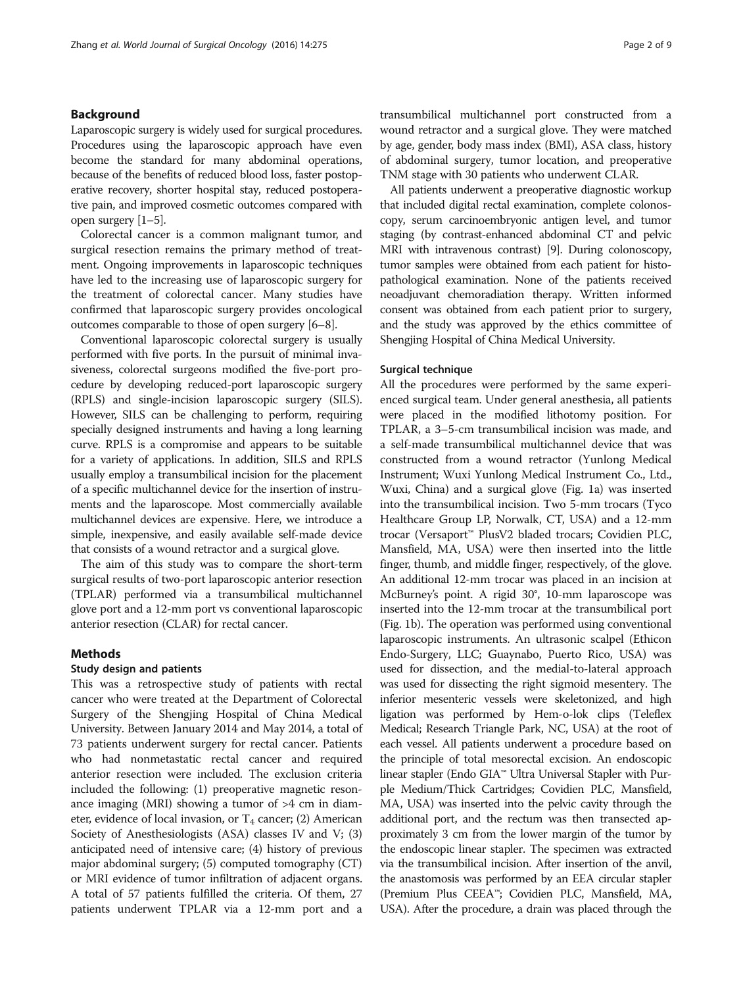# Background

Laparoscopic surgery is widely used for surgical procedures. Procedures using the laparoscopic approach have even become the standard for many abdominal operations, because of the benefits of reduced blood loss, faster postoperative recovery, shorter hospital stay, reduced postoperative pain, and improved cosmetic outcomes compared with open surgery [\[1](#page-7-0)–[5](#page-7-0)].

Colorectal cancer is a common malignant tumor, and surgical resection remains the primary method of treatment. Ongoing improvements in laparoscopic techniques have led to the increasing use of laparoscopic surgery for the treatment of colorectal cancer. Many studies have confirmed that laparoscopic surgery provides oncological outcomes comparable to those of open surgery [[6](#page-7-0)–[8](#page-7-0)].

Conventional laparoscopic colorectal surgery is usually performed with five ports. In the pursuit of minimal invasiveness, colorectal surgeons modified the five-port procedure by developing reduced-port laparoscopic surgery (RPLS) and single-incision laparoscopic surgery (SILS). However, SILS can be challenging to perform, requiring specially designed instruments and having a long learning curve. RPLS is a compromise and appears to be suitable for a variety of applications. In addition, SILS and RPLS usually employ a transumbilical incision for the placement of a specific multichannel device for the insertion of instruments and the laparoscope. Most commercially available multichannel devices are expensive. Here, we introduce a simple, inexpensive, and easily available self-made device that consists of a wound retractor and a surgical glove.

The aim of this study was to compare the short-term surgical results of two-port laparoscopic anterior resection (TPLAR) performed via a transumbilical multichannel glove port and a 12-mm port vs conventional laparoscopic anterior resection (CLAR) for rectal cancer.

#### Methods

#### Study design and patients

This was a retrospective study of patients with rectal cancer who were treated at the Department of Colorectal Surgery of the Shengjing Hospital of China Medical University. Between January 2014 and May 2014, a total of 73 patients underwent surgery for rectal cancer. Patients who had nonmetastatic rectal cancer and required anterior resection were included. The exclusion criteria included the following: (1) preoperative magnetic resonance imaging (MRI) showing a tumor of >4 cm in diameter, evidence of local invasion, or  $T_4$  cancer; (2) American Society of Anesthesiologists (ASA) classes IV and V; (3) anticipated need of intensive care; (4) history of previous major abdominal surgery; (5) computed tomography (CT) or MRI evidence of tumor infiltration of adjacent organs. A total of 57 patients fulfilled the criteria. Of them, 27 patients underwent TPLAR via a 12-mm port and a transumbilical multichannel port constructed from a wound retractor and a surgical glove. They were matched by age, gender, body mass index (BMI), ASA class, history of abdominal surgery, tumor location, and preoperative TNM stage with 30 patients who underwent CLAR.

All patients underwent a preoperative diagnostic workup that included digital rectal examination, complete colonoscopy, serum carcinoembryonic antigen level, and tumor staging (by contrast-enhanced abdominal CT and pelvic MRI with intravenous contrast) [\[9](#page-7-0)]. During colonoscopy, tumor samples were obtained from each patient for histopathological examination. None of the patients received neoadjuvant chemoradiation therapy. Written informed consent was obtained from each patient prior to surgery, and the study was approved by the ethics committee of Shengjing Hospital of China Medical University.

#### Surgical technique

All the procedures were performed by the same experienced surgical team. Under general anesthesia, all patients were placed in the modified lithotomy position. For TPLAR, a 3–5-cm transumbilical incision was made, and a self-made transumbilical multichannel device that was constructed from a wound retractor (Yunlong Medical Instrument; Wuxi Yunlong Medical Instrument Co., Ltd., Wuxi, China) and a surgical glove (Fig. [1a\)](#page-2-0) was inserted into the transumbilical incision. Two 5-mm trocars (Tyco Healthcare Group LP, Norwalk, CT, USA) and a 12-mm trocar (Versaport™ PlusV2 bladed trocars; Covidien PLC, Mansfield, MA, USA) were then inserted into the little finger, thumb, and middle finger, respectively, of the glove. An additional 12-mm trocar was placed in an incision at McBurney's point. A rigid 30°, 10-mm laparoscope was inserted into the 12-mm trocar at the transumbilical port (Fig. [1b](#page-2-0)). The operation was performed using conventional laparoscopic instruments. An ultrasonic scalpel (Ethicon Endo-Surgery, LLC; Guaynabo, Puerto Rico, USA) was used for dissection, and the medial-to-lateral approach was used for dissecting the right sigmoid mesentery. The inferior mesenteric vessels were skeletonized, and high ligation was performed by Hem-o-lok clips (Teleflex Medical; Research Triangle Park, NC, USA) at the root of each vessel. All patients underwent a procedure based on the principle of total mesorectal excision. An endoscopic linear stapler (Endo GIA™ Ultra Universal Stapler with Purple Medium/Thick Cartridges; Covidien PLC, Mansfield, MA, USA) was inserted into the pelvic cavity through the additional port, and the rectum was then transected approximately 3 cm from the lower margin of the tumor by the endoscopic linear stapler. The specimen was extracted via the transumbilical incision. After insertion of the anvil, the anastomosis was performed by an EEA circular stapler (Premium Plus CEEA™; Covidien PLC, Mansfield, MA, USA). After the procedure, a drain was placed through the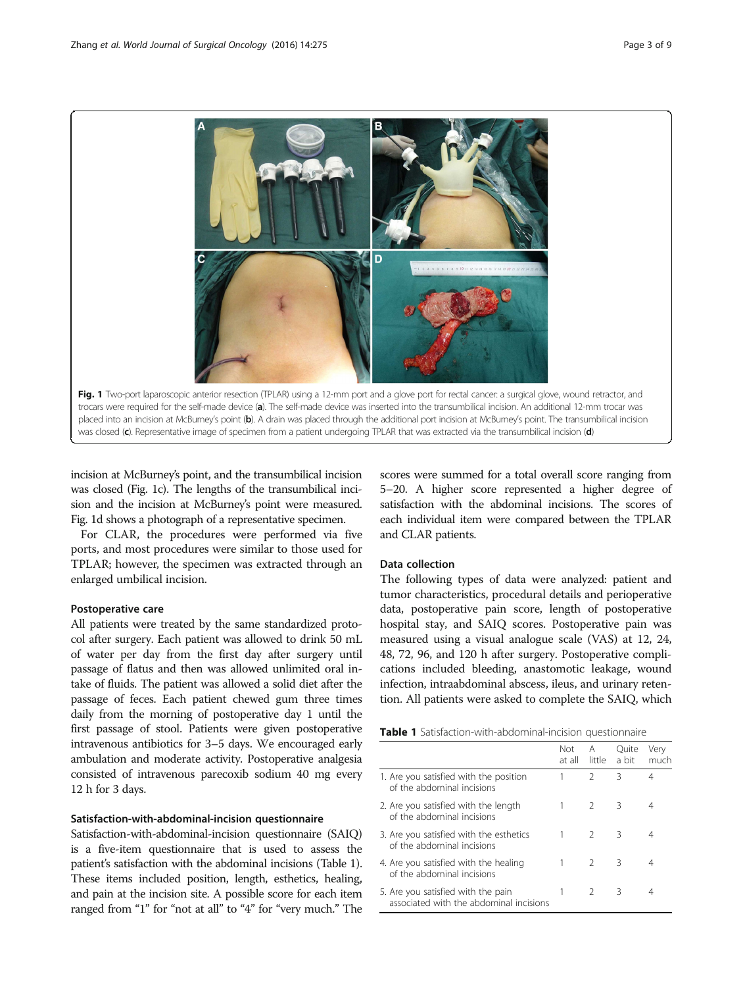<span id="page-2-0"></span>

incision at McBurney's point, and the transumbilical incision was closed (Fig. 1c). The lengths of the transumbilical incision and the incision at McBurney's point were measured. Fig. 1d shows a photograph of a representative specimen.

For CLAR, the procedures were performed via five ports, and most procedures were similar to those used for TPLAR; however, the specimen was extracted through an enlarged umbilical incision.

#### Postoperative care

All patients were treated by the same standardized protocol after surgery. Each patient was allowed to drink 50 mL of water per day from the first day after surgery until passage of flatus and then was allowed unlimited oral intake of fluids. The patient was allowed a solid diet after the passage of feces. Each patient chewed gum three times daily from the morning of postoperative day 1 until the first passage of stool. Patients were given postoperative intravenous antibiotics for 3–5 days. We encouraged early ambulation and moderate activity. Postoperative analgesia consisted of intravenous parecoxib sodium 40 mg every 12 h for 3 days.

#### Satisfaction-with-abdominal-incision questionnaire

Satisfaction-with-abdominal-incision questionnaire (SAIQ) is a five-item questionnaire that is used to assess the patient's satisfaction with the abdominal incisions (Table 1). These items included position, length, esthetics, healing, and pain at the incision site. A possible score for each item ranged from "1" for "not at all" to "4" for "very much." The scores were summed for a total overall score ranging from 5–20. A higher score represented a higher degree of satisfaction with the abdominal incisions. The scores of each individual item were compared between the TPLAR and CLAR patients.

# Data collection

The following types of data were analyzed: patient and tumor characteristics, procedural details and perioperative data, postoperative pain score, length of postoperative hospital stay, and SAIQ scores. Postoperative pain was measured using a visual analogue scale (VAS) at 12, 24, 48, 72, 96, and 120 h after surgery. Postoperative complications included bleeding, anastomotic leakage, wound infection, intraabdominal abscess, ileus, and urinary retention. All patients were asked to complete the SAIQ, which

|  |  |  |  |  |  | <b>Table 1</b> Satisfaction-with-abdominal-incision questionnaire |
|--|--|--|--|--|--|-------------------------------------------------------------------|
|--|--|--|--|--|--|-------------------------------------------------------------------|

| Table T Satisfaction-with-abdominal-incision questionnaire                    |                      |               |                |              |
|-------------------------------------------------------------------------------|----------------------|---------------|----------------|--------------|
|                                                                               | <b>Not</b><br>at all | A<br>little   | Ouite<br>a bit | Very<br>much |
| 1. Are you satisfied with the position<br>of the abdominal incisions          |                      | $\mathcal{P}$ | Β              | 4            |
| 2. Are you satisfied with the length<br>of the abdominal incisions            |                      | 2             | 3              | 4            |
| 3. Are you satisfied with the esthetics<br>of the abdominal incisions         |                      | 2             | 3              | 4            |
| 4. Are you satisfied with the healing<br>of the abdominal incisions           |                      | $\mathcal{L}$ | 3              | 4            |
| 5. Are you satisfied with the pain<br>associated with the abdominal incisions |                      | $\mathcal{L}$ | 3              | 4            |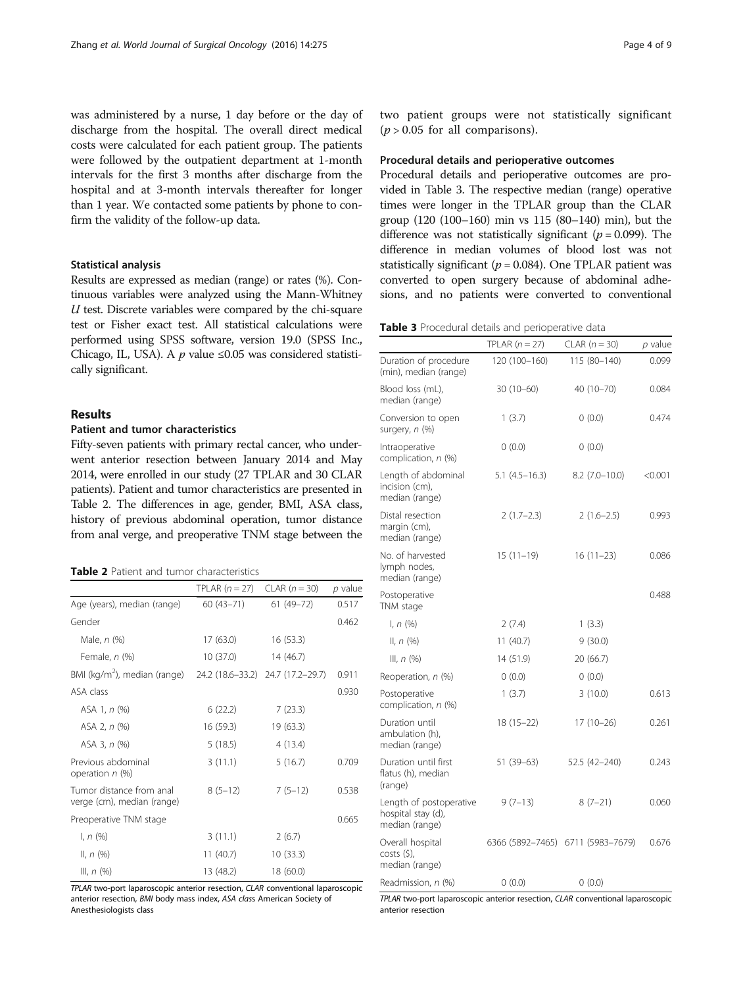was administered by a nurse, 1 day before or the day of discharge from the hospital. The overall direct medical costs were calculated for each patient group. The patients were followed by the outpatient department at 1-month intervals for the first 3 months after discharge from the hospital and at 3-month intervals thereafter for longer than 1 year. We contacted some patients by phone to confirm the validity of the follow-up data.

#### Statistical analysis

Results are expressed as median (range) or rates (%). Continuous variables were analyzed using the Mann-Whitney U test. Discrete variables were compared by the chi-square test or Fisher exact test. All statistical calculations were performed using SPSS software, version 19.0 (SPSS Inc., Chicago, IL, USA). A  $p$  value ≤0.05 was considered statistically significant.

# Results

# Patient and tumor characteristics

Fifty-seven patients with primary rectal cancer, who underwent anterior resection between January 2014 and May 2014, were enrolled in our study (27 TPLAR and 30 CLAR patients). Patient and tumor characteristics are presented in Table 2. The differences in age, gender, BMI, ASA class, history of previous abdominal operation, tumor distance from anal verge, and preoperative TNM stage between the

#### Table 2 Patient and tumor characteristics

|                                                        | TPLAR $(n=27)$ | CLAR $(n = 30)$                   | p value |
|--------------------------------------------------------|----------------|-----------------------------------|---------|
| Age (years), median (range)                            | $60(43 - 71)$  | 61 (49–72)                        | 0.517   |
| Gender                                                 |                |                                   | 0.462   |
| Male, n (%)                                            | 17 (63.0)      | 16(53.3)                          |         |
| Female, n (%)                                          | 10 (37.0)      | 14 (46.7)                         |         |
| BMI (kg/m <sup>2</sup> ), median (range)               |                | 24.2 (18.6–33.2) 24.7 (17.2–29.7) | 0.911   |
| ASA class                                              |                |                                   | 0.930   |
| ASA 1. n (%)                                           | 6(22.2)        | 7(23.3)                           |         |
| ASA 2, n (%)                                           | 16 (59.3)      | 19 (63.3)                         |         |
| ASA 3, n (%)                                           | 5(18.5)        | 4(13.4)                           |         |
| Previous abdominal<br>operation $n$ (%)                | 3(11.1)        | 5(16.7)                           | 0.709   |
| Tumor distance from anal<br>verge (cm), median (range) | $8(5-12)$      | $7(5-12)$                         | 0.538   |
| Preoperative TNM stage                                 |                |                                   | 0.665   |
| 1, n (%)                                               | 3(11.1)        | 2(6.7)                            |         |
| II, n (%)                                              | 11 (40.7)      | 10(33.3)                          |         |
| III, $n$ (%)                                           | 13 (48.2)      | 18 (60.0)                         |         |

TPLAR two-port laparoscopic anterior resection, CLAR conventional laparoscopic anterior resection, BMI body mass index, ASA class American Society of Anesthesiologists class

two patient groups were not statistically significant  $(p > 0.05$  for all comparisons).

#### Procedural details and perioperative outcomes

Procedural details and perioperative outcomes are provided in Table 3. The respective median (range) operative times were longer in the TPLAR group than the CLAR group (120 (100–160) min vs 115 (80–140) min), but the difference was not statistically significant ( $p = 0.099$ ). The difference in median volumes of blood lost was not statistically significant ( $p = 0.084$ ). One TPLAR patient was converted to open surgery because of abdominal adhesions, and no patients were converted to conventional

|                                                                 | TPLAR $(n=27)$  | CLAR $(n = 30)$                   | $p$ value |
|-----------------------------------------------------------------|-----------------|-----------------------------------|-----------|
| Duration of procedure<br>(min), median (range)                  | 120 (100-160)   | 115 (80-140)                      | 0.099     |
| Blood loss (mL),<br>median (range)                              | $30(10-60)$     | 40 (10-70)                        | 0.084     |
| Conversion to open<br>surgery, n (%)                            | 1(3.7)          | 0(0.0)                            | 0.474     |
| Intraoperative<br>complication, n (%)                           | 0(0.0)          | 0(0.0)                            |           |
| Length of abdominal<br>incision (cm),<br>median (range)         | $5.1(4.5-16.3)$ | $8.2$ (7.0-10.0)                  | < 0.001   |
| Distal resection<br>margin (cm),<br>median (range)              | $2(1.7-2.3)$    | $2(1.6-2.5)$                      | 0.993     |
| No. of harvested<br>lymph nodes,<br>median (range)              | $15(11-19)$     | $16(11-23)$                       | 0.086     |
| Postoperative<br>TNM stage                                      |                 |                                   | 0.488     |
| 1, n (%)                                                        | 2(7.4)          | 1(3.3)                            |           |
| II, n (%)                                                       | 11(40.7)        | 9(30.0)                           |           |
| III, $n$ (%)                                                    | 14 (51.9)       | 20 (66.7)                         |           |
| Reoperation, n (%)                                              | 0(0.0)          | 0(0.0)                            |           |
| Postoperative<br>complication, n (%)                            | 1(3.7)          | 3(10.0)                           | 0.613     |
| Duration until<br>ambulation (h),<br>median (range)             | $18(15-22)$     | 17 (10-26)                        | 0.261     |
| Duration until first<br>flatus (h), median<br>(range)           | 51 (39-63)      | 52.5 (42-240)                     | 0.243     |
| Length of postoperative<br>hospital stay (d),<br>median (range) | $9(7-13)$       | $8(7-21)$                         | 0.060     |
| Overall hospital<br>$costs(5)$ ,<br>median (range)              |                 | 6366 (5892-7465) 6711 (5983-7679) | 0.676     |
| Readmission, n (%)                                              | 0(0.0)          | 0(0.0)                            |           |

TPLAR two-port laparoscopic anterior resection, CLAR conventional laparoscopic anterior resection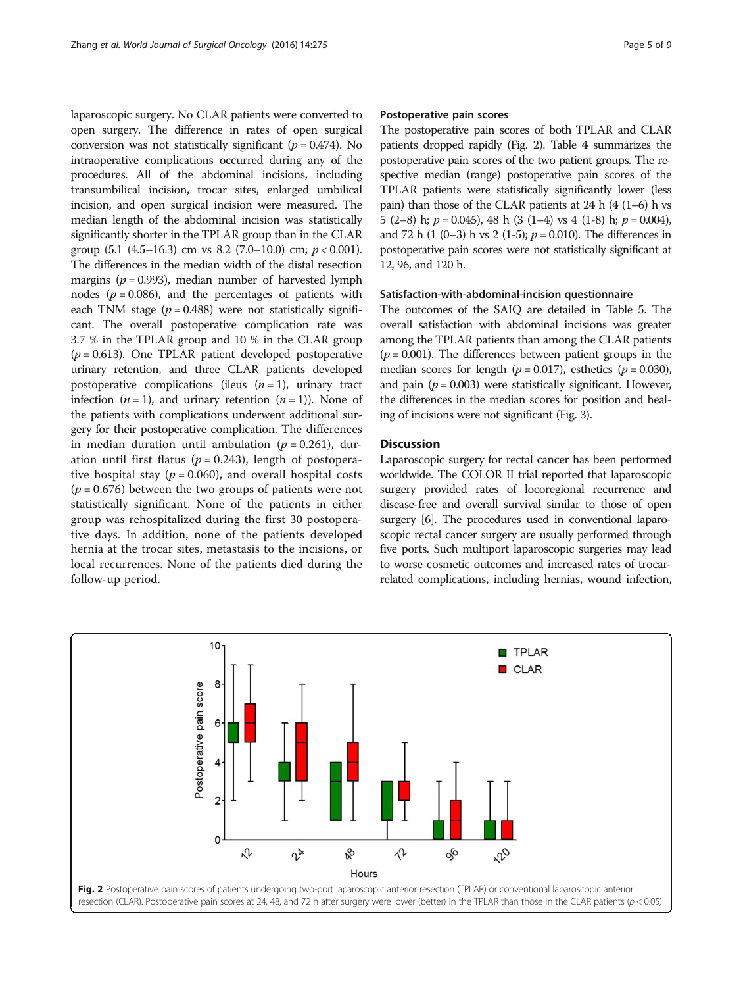laparoscopic surgery. No CLAR patients were converted to open surgery. The difference in rates of open surgical conversion was not statistically significant ( $p = 0.474$ ). No intraoperative complications occurred during any of the procedures. All of the abdominal incisions, including transumbilical incision, trocar sites, enlarged umbilical incision, and open surgical incision were measured. The median length of the abdominal incision was statistically significantly shorter in the TPLAR group than in the CLAR group  $(5.1 \ (4.5-16.3) \ cm \ vs \ 8.2 \ (7.0-10.0) \ cm; \ p < 0.001)$ . The differences in the median width of the distal resection margins ( $p = 0.993$ ), median number of harvested lymph nodes ( $p = 0.086$ ), and the percentages of patients with each TNM stage ( $p = 0.488$ ) were not statistically significant. The overall postoperative complication rate was 3.7 % in the TPLAR group and 10 % in the CLAR group  $(p = 0.613)$ . One TPLAR patient developed postoperative urinary retention, and three CLAR patients developed postoperative complications (ileus  $(n = 1)$ , urinary tract infection  $(n = 1)$ , and urinary retention  $(n = 1)$ ). None of the patients with complications underwent additional surgery for their postoperative complication. The differences in median duration until ambulation ( $p = 0.261$ ), duration until first flatus ( $p = 0.243$ ), length of postoperative hospital stay ( $p = 0.060$ ), and overall hospital costs  $(p = 0.676)$  between the two groups of patients were not statistically significant. None of the patients in either group was rehospitalized during the first 30 postoperative days. In addition, none of the patients developed hernia at the trocar sites, metastasis to the incisions, or local recurrences. None of the patients died during the follow-up period.

#### Postoperative pain scores

The postoperative pain scores of both TPLAR and CLAR patients dropped rapidly (Fig. 2). Table [4](#page-5-0) summarizes the postoperative pain scores of the two patient groups. The respective median (range) postoperative pain scores of the TPLAR patients were statistically significantly lower (less pain) than those of the CLAR patients at 24 h (4 (1–6) h vs 5 (2–8) h;  $p = 0.045$ , 48 h (3 (1–4) vs 4 (1-8) h;  $p = 0.004$ ), and 72 h (1 (0–3) h vs 2 (1-5);  $p = 0.010$ ). The differences in postoperative pain scores were not statistically significant at 12, 96, and 120 h.

#### Satisfaction-with-abdominal-incision questionnaire

The outcomes of the SAIQ are detailed in Table [5](#page-5-0). The overall satisfaction with abdominal incisions was greater among the TPLAR patients than among the CLAR patients  $(p = 0.001)$ . The differences between patient groups in the median scores for length ( $p = 0.017$ ), esthetics ( $p = 0.030$ ), and pain ( $p = 0.003$ ) were statistically significant. However, the differences in the median scores for position and healing of incisions were not significant (Fig. [3\)](#page-6-0).

#### **Discussion**

Laparoscopic surgery for rectal cancer has been performed worldwide. The COLOR II trial reported that laparoscopic surgery provided rates of locoregional recurrence and disease-free and overall survival similar to those of open surgery [[6](#page-7-0)]. The procedures used in conventional laparoscopic rectal cancer surgery are usually performed through five ports. Such multiport laparoscopic surgeries may lead to worse cosmetic outcomes and increased rates of trocarrelated complications, including hernias, wound infection,

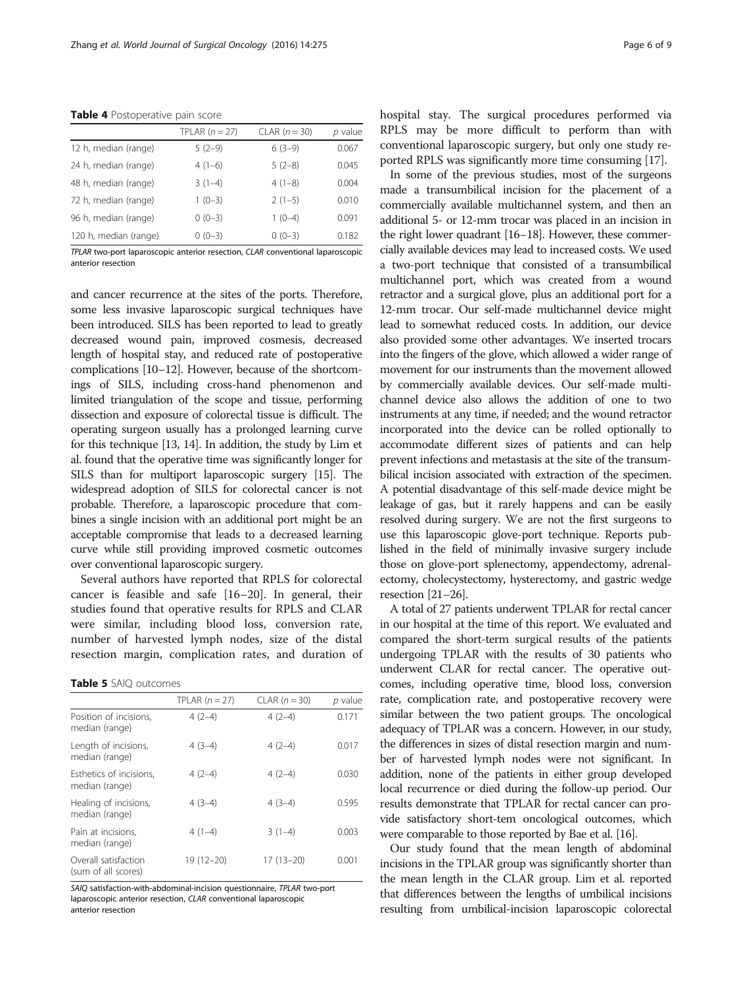<span id="page-5-0"></span>Table 4 Postoperative pain score

|                       | TPLAR $(n = 27)$ | CLAR $(n = 30)$ | p value |
|-----------------------|------------------|-----------------|---------|
| 12 h, median (range)  | $5(2-9)$         | $6(3-9)$        | 0.067   |
| 24 h, median (range)  | $4(1-6)$         | $5(2-8)$        | 0.045   |
| 48 h, median (range)  | $3(1-4)$         | $4(1-8)$        | 0.004   |
| 72 h, median (range)  | $1(0-3)$         | $2(1-5)$        | 0.010   |
| 96 h, median (range)  | $0(0-3)$         | 1 (0–4)         | 0.091   |
| 120 h, median (range) | $0(0-3)$         | $0(0-3)$        | 0.182   |

TPLAR two-port laparoscopic anterior resection, CLAR conventional laparoscopic anterior resection

and cancer recurrence at the sites of the ports. Therefore, some less invasive laparoscopic surgical techniques have been introduced. SILS has been reported to lead to greatly decreased wound pain, improved cosmesis, decreased length of hospital stay, and reduced rate of postoperative complications [\[10](#page-7-0)–[12\]](#page-7-0). However, because of the shortcomings of SILS, including cross-hand phenomenon and limited triangulation of the scope and tissue, performing dissection and exposure of colorectal tissue is difficult. The operating surgeon usually has a prolonged learning curve for this technique [[13](#page-7-0), [14](#page-7-0)]. In addition, the study by Lim et al. found that the operative time was significantly longer for SILS than for multiport laparoscopic surgery [[15](#page-7-0)]. The widespread adoption of SILS for colorectal cancer is not probable. Therefore, a laparoscopic procedure that combines a single incision with an additional port might be an acceptable compromise that leads to a decreased learning curve while still providing improved cosmetic outcomes over conventional laparoscopic surgery.

Several authors have reported that RPLS for colorectal cancer is feasible and safe [[16](#page-7-0)–[20](#page-7-0)]. In general, their studies found that operative results for RPLS and CLAR were similar, including blood loss, conversion rate, number of harvested lymph nodes, size of the distal resection margin, complication rates, and duration of

Table 5 SAIO outcomes

|                                             | TPLAR $(n = 27)$ | CLAR $(n = 30)$ | p value |
|---------------------------------------------|------------------|-----------------|---------|
| Position of incisions,<br>median (range)    | $4(2-4)$         | $4(2-4)$        | 0.171   |
| Length of incisions,<br>median (range)      | $4(3-4)$         | $4(2-4)$        | 0.017   |
| Esthetics of incisions.<br>median (range)   | $4(2-4)$         | $4(2-4)$        | 0.030   |
| Healing of incisions,<br>median (range)     | $4(3-4)$         | $4(3-4)$        | 0.595   |
| Pain at incisions,<br>median (range)        | $4(1-4)$         | $3(1-4)$        | 0.003   |
| Overall satisfaction<br>(sum of all scores) | 19 (12–20)       | $17(13-20)$     | 0.001   |

SAIQ satisfaction-with-abdominal-incision questionnaire, TPLAR two-port laparoscopic anterior resection, CLAR conventional laparoscopic anterior resection

hospital stay. The surgical procedures performed via RPLS may be more difficult to perform than with conventional laparoscopic surgery, but only one study reported RPLS was significantly more time consuming [\[17\]](#page-7-0).

In some of the previous studies, most of the surgeons made a transumbilical incision for the placement of a commercially available multichannel system, and then an additional 5- or 12-mm trocar was placed in an incision in the right lower quadrant [\[16](#page-7-0)–[18\]](#page-7-0). However, these commercially available devices may lead to increased costs. We used a two-port technique that consisted of a transumbilical multichannel port, which was created from a wound retractor and a surgical glove, plus an additional port for a 12-mm trocar. Our self-made multichannel device might lead to somewhat reduced costs. In addition, our device also provided some other advantages. We inserted trocars into the fingers of the glove, which allowed a wider range of movement for our instruments than the movement allowed by commercially available devices. Our self-made multichannel device also allows the addition of one to two instruments at any time, if needed; and the wound retractor incorporated into the device can be rolled optionally to accommodate different sizes of patients and can help prevent infections and metastasis at the site of the transumbilical incision associated with extraction of the specimen. A potential disadvantage of this self-made device might be leakage of gas, but it rarely happens and can be easily resolved during surgery. We are not the first surgeons to use this laparoscopic glove-port technique. Reports published in the field of minimally invasive surgery include those on glove-port splenectomy, appendectomy, adrenalectomy, cholecystectomy, hysterectomy, and gastric wedge resection [[21](#page-8-0)–[26](#page-8-0)].

A total of 27 patients underwent TPLAR for rectal cancer in our hospital at the time of this report. We evaluated and compared the short-term surgical results of the patients undergoing TPLAR with the results of 30 patients who underwent CLAR for rectal cancer. The operative outcomes, including operative time, blood loss, conversion rate, complication rate, and postoperative recovery were similar between the two patient groups. The oncological adequacy of TPLAR was a concern. However, in our study, the differences in sizes of distal resection margin and number of harvested lymph nodes were not significant. In addition, none of the patients in either group developed local recurrence or died during the follow-up period. Our results demonstrate that TPLAR for rectal cancer can provide satisfactory short-tem oncological outcomes, which were comparable to those reported by Bae et al. [\[16](#page-7-0)].

Our study found that the mean length of abdominal incisions in the TPLAR group was significantly shorter than the mean length in the CLAR group. Lim et al. reported that differences between the lengths of umbilical incisions resulting from umbilical-incision laparoscopic colorectal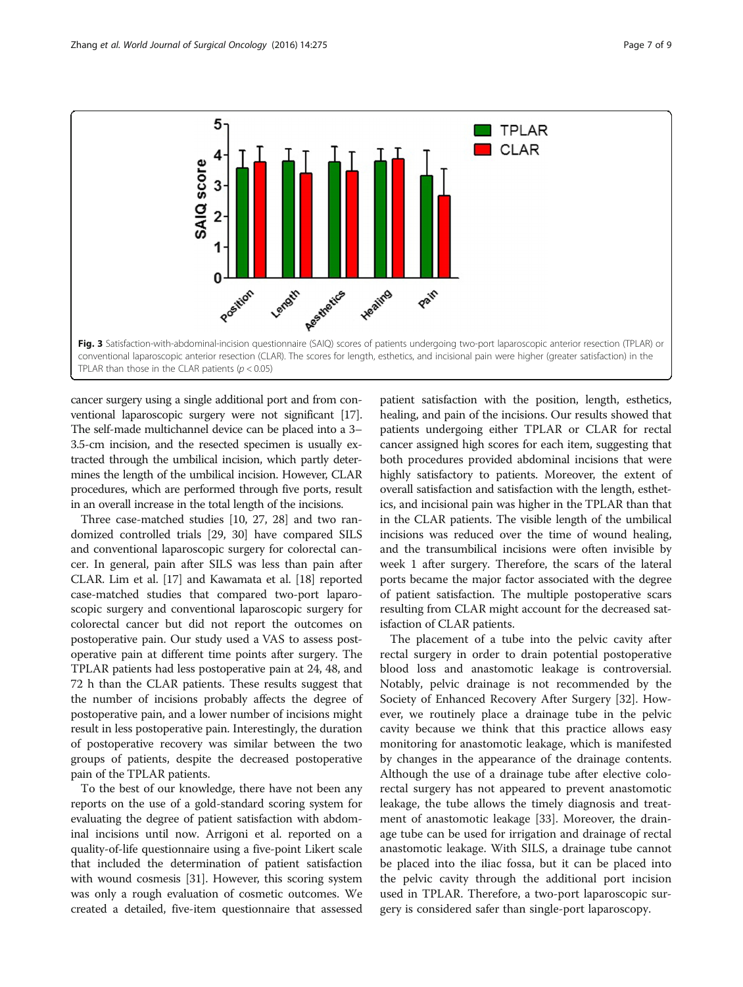<span id="page-6-0"></span>

cancer surgery using a single additional port and from conventional laparoscopic surgery were not significant [\[17](#page-7-0)]. The self-made multichannel device can be placed into a 3– 3.5-cm incision, and the resected specimen is usually extracted through the umbilical incision, which partly determines the length of the umbilical incision. However, CLAR procedures, which are performed through five ports, result in an overall increase in the total length of the incisions.

Three case-matched studies [[10](#page-7-0), [27](#page-8-0), [28](#page-8-0)] and two randomized controlled trials [\[29](#page-8-0), [30\]](#page-8-0) have compared SILS and conventional laparoscopic surgery for colorectal cancer. In general, pain after SILS was less than pain after CLAR. Lim et al. [[17](#page-7-0)] and Kawamata et al. [\[18\]](#page-7-0) reported case-matched studies that compared two-port laparoscopic surgery and conventional laparoscopic surgery for colorectal cancer but did not report the outcomes on postoperative pain. Our study used a VAS to assess postoperative pain at different time points after surgery. The TPLAR patients had less postoperative pain at 24, 48, and 72 h than the CLAR patients. These results suggest that the number of incisions probably affects the degree of postoperative pain, and a lower number of incisions might result in less postoperative pain. Interestingly, the duration of postoperative recovery was similar between the two groups of patients, despite the decreased postoperative pain of the TPLAR patients.

To the best of our knowledge, there have not been any reports on the use of a gold-standard scoring system for evaluating the degree of patient satisfaction with abdominal incisions until now. Arrigoni et al. reported on a quality-of-life questionnaire using a five-point Likert scale that included the determination of patient satisfaction with wound cosmesis [[31\]](#page-8-0). However, this scoring system was only a rough evaluation of cosmetic outcomes. We created a detailed, five-item questionnaire that assessed

patient satisfaction with the position, length, esthetics, healing, and pain of the incisions. Our results showed that patients undergoing either TPLAR or CLAR for rectal cancer assigned high scores for each item, suggesting that both procedures provided abdominal incisions that were highly satisfactory to patients. Moreover, the extent of overall satisfaction and satisfaction with the length, esthetics, and incisional pain was higher in the TPLAR than that in the CLAR patients. The visible length of the umbilical incisions was reduced over the time of wound healing, and the transumbilical incisions were often invisible by week 1 after surgery. Therefore, the scars of the lateral ports became the major factor associated with the degree of patient satisfaction. The multiple postoperative scars resulting from CLAR might account for the decreased satisfaction of CLAR patients.

The placement of a tube into the pelvic cavity after rectal surgery in order to drain potential postoperative blood loss and anastomotic leakage is controversial. Notably, pelvic drainage is not recommended by the Society of Enhanced Recovery After Surgery [[32](#page-8-0)]. However, we routinely place a drainage tube in the pelvic cavity because we think that this practice allows easy monitoring for anastomotic leakage, which is manifested by changes in the appearance of the drainage contents. Although the use of a drainage tube after elective colorectal surgery has not appeared to prevent anastomotic leakage, the tube allows the timely diagnosis and treatment of anastomotic leakage [\[33](#page-8-0)]. Moreover, the drainage tube can be used for irrigation and drainage of rectal anastomotic leakage. With SILS, a drainage tube cannot be placed into the iliac fossa, but it can be placed into the pelvic cavity through the additional port incision used in TPLAR. Therefore, a two-port laparoscopic surgery is considered safer than single-port laparoscopy.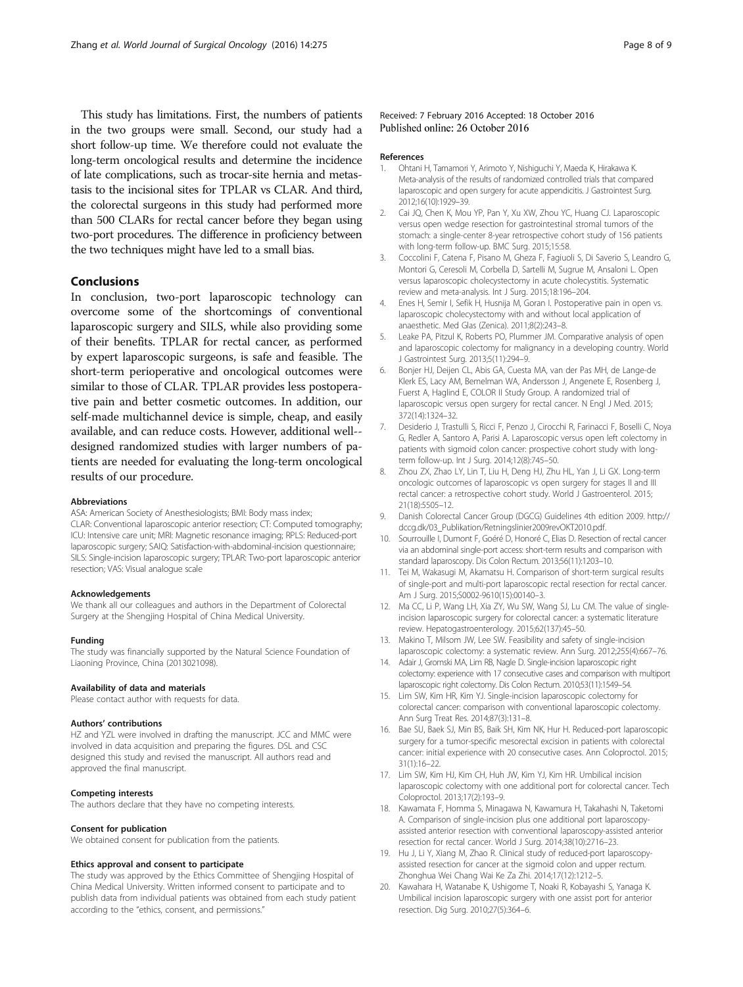<span id="page-7-0"></span>This study has limitations. First, the numbers of patients in the two groups were small. Second, our study had a short follow-up time. We therefore could not evaluate the long-term oncological results and determine the incidence of late complications, such as trocar-site hernia and metastasis to the incisional sites for TPLAR vs CLAR. And third, the colorectal surgeons in this study had performed more than 500 CLARs for rectal cancer before they began using two-port procedures. The difference in proficiency between the two techniques might have led to a small bias.

### Conclusions

In conclusion, two-port laparoscopic technology can overcome some of the shortcomings of conventional laparoscopic surgery and SILS, while also providing some of their benefits. TPLAR for rectal cancer, as performed by expert laparoscopic surgeons, is safe and feasible. The short-term perioperative and oncological outcomes were similar to those of CLAR. TPLAR provides less postoperative pain and better cosmetic outcomes. In addition, our self-made multichannel device is simple, cheap, and easily available, and can reduce costs. However, additional well- designed randomized studies with larger numbers of patients are needed for evaluating the long-term oncological results of our procedure.

#### Abbreviations

ASA: American Society of Anesthesiologists; BMI: Body mass index;

CLAR: Conventional laparoscopic anterior resection; CT: Computed tomography; ICU: Intensive care unit; MRI: Magnetic resonance imaging; RPLS: Reduced-port laparoscopic surgery; SAIQ: Satisfaction-with-abdominal-incision questionnaire; SILS: Single-incision laparoscopic surgery; TPLAR: Two-port laparoscopic anterior resection; VAS: Visual analogue scale

#### Acknowledgements

We thank all our colleagues and authors in the Department of Colorectal Surgery at the Shengjing Hospital of China Medical University.

#### Funding

The study was financially supported by the Natural Science Foundation of Liaoning Province, China (2013021098).

#### Availability of data and materials

Please contact author with requests for data.

#### Authors' contributions

HZ and YZL were involved in drafting the manuscript. JCC and MMC were involved in data acquisition and preparing the figures. DSL and CSC designed this study and revised the manuscript. All authors read and approved the final manuscript.

#### Competing interests

The authors declare that they have no competing interests.

#### Consent for publication

We obtained consent for publication from the patients.

#### Ethics approval and consent to participate

The study was approved by the Ethics Committee of Shengjing Hospital of China Medical University. Written informed consent to participate and to publish data from individual patients was obtained from each study patient according to the "ethics, consent, and permissions."

#### References

- 1. Ohtani H, Tamamori Y, Arimoto Y, Nishiguchi Y, Maeda K, Hirakawa K. Meta-analysis of the results of randomized controlled trials that compared laparoscopic and open surgery for acute appendicitis. J Gastrointest Surg. 2012;16(10):1929–39.
- 2. Cai JQ, Chen K, Mou YP, Pan Y, Xu XW, Zhou YC, Huang CJ. Laparoscopic versus open wedge resection for gastrointestinal stromal tumors of the stomach: a single-center 8-year retrospective cohort study of 156 patients with long-term follow-up. BMC Surg. 2015;15:58.
- 3. Coccolini F, Catena F, Pisano M, Gheza F, Fagiuoli S, Di Saverio S, Leandro G, Montori G, Ceresoli M, Corbella D, Sartelli M, Sugrue M, Ansaloni L. Open versus laparoscopic cholecystectomy in acute cholecystitis. Systematic review and meta-analysis. Int J Surg. 2015;18:196–204.
- 4. Enes H, Semir I, Sefik H, Husnija M, Goran I. Postoperative pain in open vs. laparoscopic cholecystectomy with and without local application of anaesthetic. Med Glas (Zenica). 2011;8(2):243–8.
- 5. Leake PA, Pitzul K, Roberts PO, Plummer JM. Comparative analysis of open and laparoscopic colectomy for malignancy in a developing country. World J Gastrointest Surg. 2013;5(11):294–9.
- 6. Bonjer HJ, Deijen CL, Abis GA, Cuesta MA, van der Pas MH, de Lange-de Klerk ES, Lacy AM, Bemelman WA, Andersson J, Angenete E, Rosenberg J, Fuerst A, Haglind E, COLOR II Study Group. A randomized trial of laparoscopic versus open surgery for rectal cancer. N Engl J Med. 2015; 372(14):1324–32.
- 7. Desiderio J, Trastulli S, Ricci F, Penzo J, Cirocchi R, Farinacci F, Boselli C, Noya G, Redler A, Santoro A, Parisi A. Laparoscopic versus open left colectomy in patients with sigmoid colon cancer: prospective cohort study with longterm follow-up. Int J Surg. 2014;12(8):745–50.
- 8. Zhou ZX, Zhao LY, Lin T, Liu H, Deng HJ, Zhu HL, Yan J, Li GX. Long-term oncologic outcomes of laparoscopic vs open surgery for stages II and III rectal cancer: a retrospective cohort study. World J Gastroenterol. 2015; 21(18):5505–12.
- 9. Danish Colorectal Cancer Group (DGCG) Guidelines 4th edition 2009. [http://](http://dccg.dk/03_Publikation/Retningslinier2009revOKT2010.pdf) [dccg.dk/03\\_Publikation/Retningslinier2009revOKT2010.pdf.](http://dccg.dk/03_Publikation/Retningslinier2009revOKT2010.pdf)
- 10. Sourrouille I, Dumont F, Goéré D, Honoré C, Elias D. Resection of rectal cancer via an abdominal single-port access: short-term results and comparison with standard laparoscopy. Dis Colon Rectum. 2013;56(11):1203–10.
- 11. Tei M, Wakasugi M, Akamatsu H. Comparison of short-term surgical results of single-port and multi-port laparoscopic rectal resection for rectal cancer. Am J Surg. 2015;S0002-9610(15):00140–3.
- 12. Ma CC, Li P, Wang LH, Xia ZY, Wu SW, Wang SJ, Lu CM. The value of singleincision laparoscopic surgery for colorectal cancer: a systematic literature review. Hepatogastroenterology. 2015;62(137):45–50.
- 13. Makino T, Milsom JW, Lee SW. Feasibility and safety of single-incision laparoscopic colectomy: a systematic review. Ann Surg. 2012;255(4):667–76.
- 14. Adair J, Gromski MA, Lim RB, Nagle D. Single-incision laparoscopic right colectomy: experience with 17 consecutive cases and comparison with multiport laparoscopic right colectomy. Dis Colon Rectum. 2010;53(11):1549–54.
- 15. Lim SW, Kim HR, Kim YJ. Single-incision laparoscopic colectomy for colorectal cancer: comparison with conventional laparoscopic colectomy. Ann Surg Treat Res. 2014;87(3):131–8.
- 16. Bae SU, Baek SJ, Min BS, Baik SH, Kim NK, Hur H. Reduced-port laparoscopic surgery for a tumor-specific mesorectal excision in patients with colorectal cancer: initial experience with 20 consecutive cases. Ann Coloproctol. 2015; 31(1):16–22.
- 17. Lim SW, Kim HJ, Kim CH, Huh JW, Kim YJ, Kim HR. Umbilical incision laparoscopic colectomy with one additional port for colorectal cancer. Tech Coloproctol. 2013;17(2):193–9.
- 18. Kawamata F, Homma S, Minagawa N, Kawamura H, Takahashi N, Taketomi A. Comparison of single-incision plus one additional port laparoscopyassisted anterior resection with conventional laparoscopy-assisted anterior resection for rectal cancer. World J Surg. 2014;38(10):2716–23.
- 19. Hu J, Li Y, Xiang M, Zhao R. Clinical study of reduced-port laparoscopyassisted resection for cancer at the sigmoid colon and upper rectum. Zhonghua Wei Chang Wai Ke Za Zhi. 2014;17(12):1212–5.
- 20. Kawahara H, Watanabe K, Ushigome T, Noaki R, Kobayashi S, Yanaga K. Umbilical incision laparoscopic surgery with one assist port for anterior resection. Dig Surg. 2010;27(5):364–6.